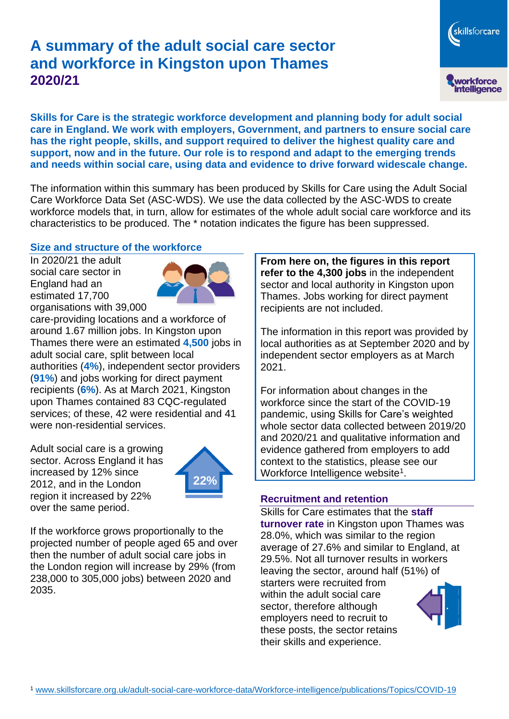# **A summary of the adult social care sector and workforce in Kingston upon Thames 2020/21**



**Skills for Care is the strategic workforce development and planning body for adult social care in England. We work with employers, Government, and partners to ensure social care has the right people, skills, and support required to deliver the highest quality care and support, now and in the future. Our role is to respond and adapt to the emerging trends and needs within social care, using data and evidence to drive forward widescale change.**

The information within this summary has been produced by Skills for Care using the Adult Social Care Workforce Data Set (ASC-WDS). We use the data collected by the ASC-WDS to create workforce models that, in turn, allow for estimates of the whole adult social care workforce and its characteristics to be produced. The \* notation indicates the figure has been suppressed.

## **Size and structure of the workforce**

In 2020/21 the adult social care sector in England had an estimated 17,700 organisations with 39,000



care-providing locations and a workforce of around 1.67 million jobs. In Kingston upon Thames there were an estimated **4,500** jobs in adult social care, split between local authorities (**4%**), independent sector providers (**91%**) and jobs working for direct payment recipients (**6%**). As at March 2021, Kingston upon Thames contained 83 CQC-regulated services; of these, 42 were residential and 41 were non-residential services.

Adult social care is a growing sector. Across England it has increased by 12% since 2012, and in the London region it increased by 22% over the same period.



If the workforce grows proportionally to the projected number of people aged 65 and over then the number of adult social care jobs in the London region will increase by 29% (from 238,000 to 305,000 jobs) between 2020 and 2035.

**From here on, the figures in this report refer to the 4,300 jobs** in the independent sector and local authority in Kingston upon Thames. Jobs working for direct payment recipients are not included.

The information in this report was provided by local authorities as at September 2020 and by independent sector employers as at March 2021.

For information about changes in the workforce since the start of the COVID-19 pandemic, using Skills for Care's weighted whole sector data collected between 2019/20 and 2020/21 and qualitative information and evidence gathered from employers to add context to the statistics, please see our Workforce Intelligence website<sup>1</sup>.

## **Recruitment and retention**

Skills for Care estimates that the **staff turnover rate** in Kingston upon Thames was 28.0%, which was similar to the region average of 27.6% and similar to England, at 29.5%. Not all turnover results in workers leaving the sector, around half (51%) of starters were recruited from within the adult social care sector, therefore although employers need to recruit to these posts, the sector retains their skills and experience.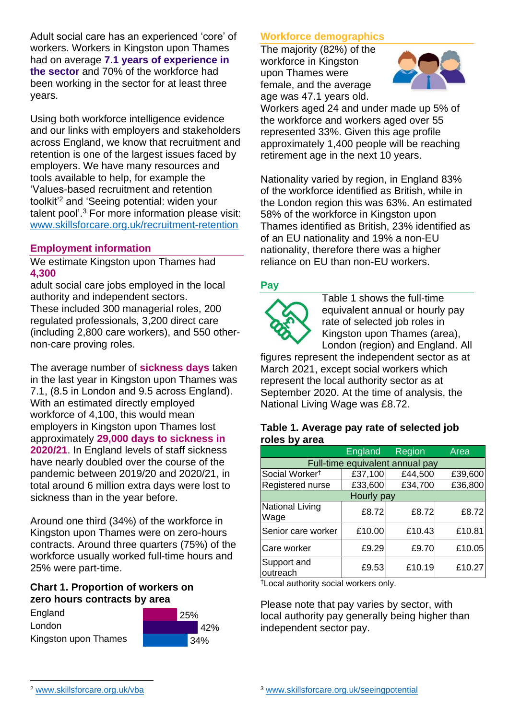Adult social care has an experienced 'core' of workers. Workers in Kingston upon Thames had on average **7.1 years of experience in the sector** and 70% of the workforce had been working in the sector for at least three years.

Using both workforce intelligence evidence and our links with employers and stakeholders across England, we know that recruitment and retention is one of the largest issues faced by employers. We have many resources and tools available to help, for example the 'Values-based recruitment and retention toolkit'<sup>2</sup> and 'Seeing potential: widen your talent pool'. <sup>3</sup> For more information please visit: [www.skillsforcare.org.uk/recruitment-retention](http://www.skillsforcare.org.uk/recruitment-retention)

## **Employment information**

We estimate Kingston upon Thames had **4,300**

adult social care jobs employed in the local authority and independent sectors. These included 300 managerial roles, 200 regulated professionals, 3,200 direct care (including 2,800 care workers), and 550 othernon-care proving roles.

The average number of **sickness days** taken in the last year in Kingston upon Thames was 7.1, (8.5 in London and 9.5 across England). With an estimated directly employed workforce of 4,100, this would mean employers in Kingston upon Thames lost approximately **29,000 days to sickness in 2020/21**. In England levels of staff sickness have nearly doubled over the course of the pandemic between 2019/20 and 2020/21, in total around 6 million extra days were lost to sickness than in the year before.

Around one third (34%) of the workforce in Kingston upon Thames were on zero-hours contracts. Around three quarters (75%) of the workforce usually worked full-time hours and 25% were part-time.

## **Chart 1. Proportion of workers on zero hours contracts by area**

England London Kingston upon Thames



## **Workforce demographics**

The majority (82%) of the workforce in Kingston upon Thames were female, and the average age was 47.1 years old.



Workers aged 24 and under made up 5% of the workforce and workers aged over 55 represented 33%. Given this age profile approximately 1,400 people will be reaching retirement age in the next 10 years.

Nationality varied by region, in England 83% of the workforce identified as British, while in the London region this was 63%. An estimated 58% of the workforce in Kingston upon Thames identified as British, 23% identified as of an EU nationality and 19% a non-EU nationality, therefore there was a higher reliance on EU than non-EU workers.

## **Pay**



Table 1 shows the full-time equivalent annual or hourly pay rate of selected job roles in Kingston upon Thames (area), London (region) and England. All

figures represent the independent sector as at March 2021, except social workers which represent the local authority sector as at September 2020. At the time of analysis, the National Living Wage was £8.72.

#### **Table 1. Average pay rate of selected job roles by area**

|                                 | England | Region  | Area    |
|---------------------------------|---------|---------|---------|
| Full-time equivalent annual pay |         |         |         |
| Social Worker <sup>t</sup>      | £37,100 | £44,500 | £39,600 |
| Registered nurse                | £33,600 | £34,700 | £36,800 |
| Hourly pay                      |         |         |         |
| National Living<br>Wage         | £8.72   | £8.72   | £8.72   |
| Senior care worker              | £10.00  | £10.43  | £10.81  |
| Care worker                     | £9.29   | £9.70   | £10.05  |
| Support and<br>outreach         | £9.53   | £10.19  | £10.27  |

†Local authority social workers only.

Please note that pay varies by sector, with local authority pay generally being higher than independent sector pay.

<sup>2</sup> [www.skillsforcare.org.uk/vba](http://www.skillsforcare.org.uk/vba)